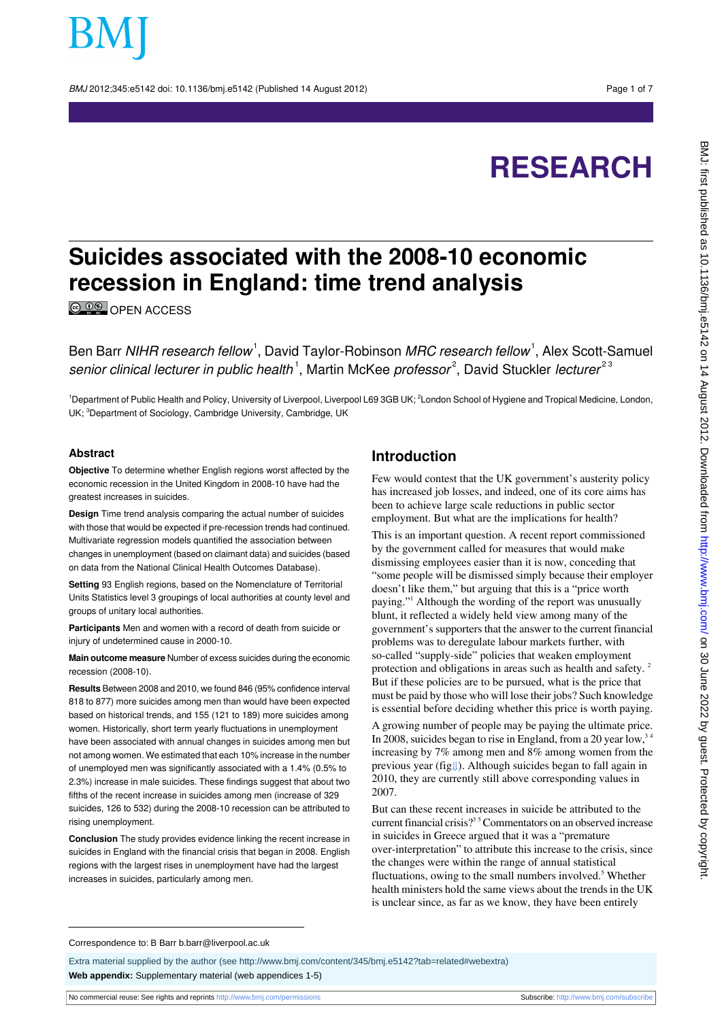BMJ 2012:345:e5142 doi: 10.1136/bmi.e5142 (Published 14 August 2012) Page 1 of 7

# **RESEARCH**

## **Suicides associated with the 2008-10 economic recession in England: time trend analysis**

**C**  $\overline{O}$  **OPEN ACCESS** 

Ben Barr *NIHR research fellow<sup>1</sup>,* David Taylor-Robinson *MRC research fellow<sup>1</sup>, A*lex Scott-Samuel senior clinical lecturer in public health<sup>1</sup>, Martin McKee professor<sup>2</sup>, David Stuckler lecturer<sup>23</sup>

<sup>1</sup>Department of Public Health and Policy, University of Liverpool, Liverpool L69 3GB UK; <sup>2</sup>London School of Hygiene and Tropical Medicine, London, UK; <sup>3</sup>Department of Sociology, Cambridge University, Cambridge, UK

#### **Abstract**

**Objective** To determine whether English regions worst affected by the economic recession in the United Kingdom in 2008-10 have had the greatest increases in suicides.

**Design** Time trend analysis comparing the actual number of suicides with those that would be expected if pre-recession trends had continued. Multivariate regression models quantified the association between changes in unemployment (based on claimant data) and suicides (based on data from the National Clinical Health Outcomes Database).

**Setting** 93 English regions, based on the Nomenclature of Territorial Units Statistics level 3 groupings of local authorities at county level and groups of unitary local authorities.

**Participants** Men and women with a record of death from suicide or injury of undetermined cause in 2000-10.

**Main outcome measure** Number of excess suicides during the economic recession (2008-10).

**Results** Between 2008 and 2010, we found 846 (95% confidence interval 818 to 877) more suicides among men than would have been expected based on historical trends, and 155 (121 to 189) more suicides among women. Historically, short term yearly fluctuations in unemployment have been associated with annual changes in suicides among men but not among women. We estimated that each 10% increase in the number of unemployed men was significantly associated with a 1.4% (0.5% to 2.3%) increase in male suicides. These findings suggest that about two fifths of the recent increase in suicides among men (increase of 329 suicides, 126 to 532) during the 2008-10 recession can be attributed to rising unemployment.

**Conclusion** The study provides evidence linking the recent increase in suicides in England with the financial crisis that began in 2008. English regions with the largest rises in unemployment have had the largest increases in suicides, particularly among men.

#### **Introduction**

Few would contest that the UK government's austerity policy has increased job losses, and indeed, one of its core aims has been to achieve large scale reductions in public sector employment. But what are the implications for health?

This is an important question. A recent report commissioned by the government called for measures that would make dismissing employees easier than it is now, conceding that "some people will be dismissed simply because their employer doesn't like them," but arguing that this is a "price worth paying."<sup>1</sup> Although the wording of the report was unusually blunt, it reflected a widely held view among many of the government's supporters that the answer to the current financial problems was to deregulate labour markets further, with so-called "supply-side" policies that weaken employment protection and obligations in areas such as health and safety.<sup>2</sup> But if these policies are to be pursued, what is the price that must be paid by those who will lose their jobs? Such knowledge is essential before deciding whether this price is worth paying.

A growing number of people may be paying the ultimate price. In 2008, suicides began to rise in England, from a 20 year low,<sup>34</sup> increasing by 7% among men and 8% among women from the previous year (fig[⇓\)](#page-6-0). Although suicides began to fall again in 2010, they are currently still above corresponding values in 2007.

But can these recent increases in suicide be attributed to the current financial crisis?3 5 Commentators on an observed increase in suicides in Greece argued that it was a "premature over-interpretation" to attribute this increase to the crisis, since the changes were within the range of annual statistical fluctuations, owing to the small numbers involved.<sup>5</sup> Whether health ministers hold the same views about the trends in the UK is unclear since, as far as we know, they have been entirely

Correspondence to: B Barr b.barr@liverpool.ac.uk

Extra material supplied by the author (see [http://www.bmj.com/content/345/bmj.e5142?tab=related#webextra\)](http://www.bmj.com/content/345/bmj.e5142?tab=related#webextra) **Web appendix:** Supplementary material (web appendices 1-5)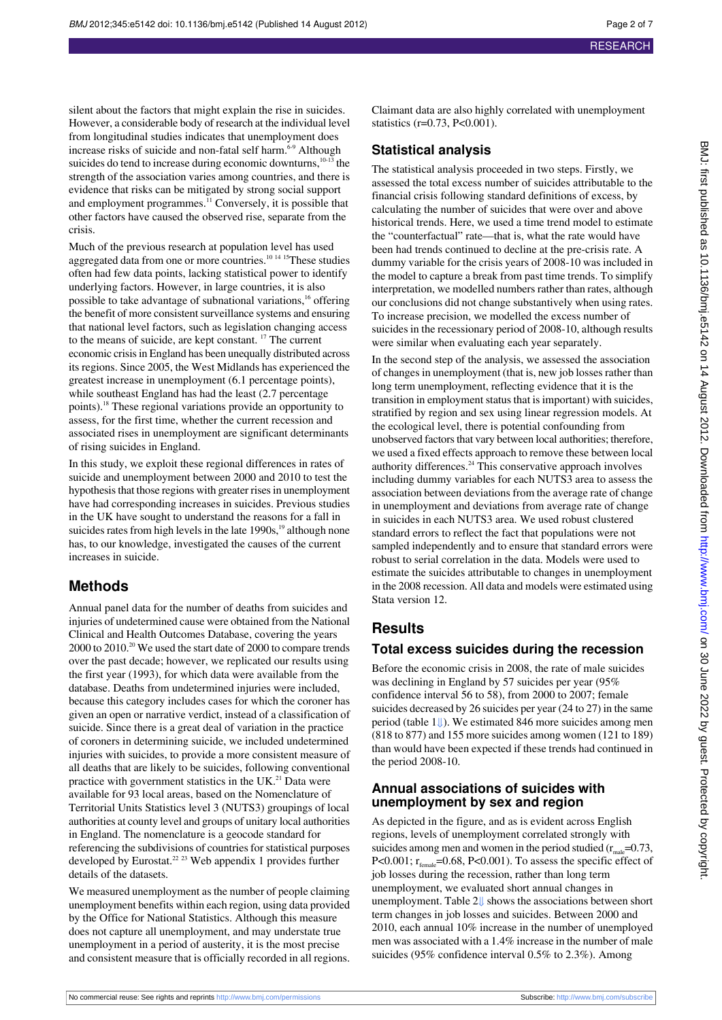silent about the factors that might explain the rise in suicides. However, a considerable body of research at the individual level from longitudinal studies indicates that unemployment does increase risks of suicide and non-fatal self harm.<sup>6-9</sup> Although suicides do tend to increase during economic downturns, $10-13$  the strength of the association varies among countries, and there is evidence that risks can be mitigated by strong social support and employment programmes.<sup>11</sup> Conversely, it is possible that other factors have caused the observed rise, separate from the crisis.

Much of the previous research at population level has used aggregated data from one or more countries.10 14 15These studies often had few data points, lacking statistical power to identify underlying factors. However, in large countries, it is also possible to take advantage of subnational variations,<sup>16</sup> offering the benefit of more consistent surveillance systems and ensuring that national level factors, such as legislation changing access to the means of suicide, are kept constant. <sup>17</sup> The current economic crisis in England has been unequally distributed across its regions. Since 2005, the West Midlands has experienced the greatest increase in unemployment (6.1 percentage points), while southeast England has had the least (2.7 percentage points).<sup>18</sup> These regional variations provide an opportunity to assess, for the first time, whether the current recession and associated rises in unemployment are significant determinants of rising suicides in England.

In this study, we exploit these regional differences in rates of suicide and unemployment between 2000 and 2010 to test the hypothesis that those regions with greater rises in unemployment have had corresponding increases in suicides. Previous studies in the UK have sought to understand the reasons for a fall in suicides rates from high levels in the late  $1990s$ ,<sup>19</sup> although none has, to our knowledge, investigated the causes of the current increases in suicide.

## **Methods**

Annual panel data for the number of deaths from suicides and injuries of undetermined cause were obtained from the National Clinical and Health Outcomes Database, covering the years 2000 to 2010.<sup>20</sup> We used the start date of 2000 to compare trends over the past decade; however, we replicated our results using the first year (1993), for which data were available from the database. Deaths from undetermined injuries were included, because this category includes cases for which the coroner has given an open or narrative verdict, instead of a classification of suicide. Since there is a great deal of variation in the practice of coroners in determining suicide, we included undetermined injuries with suicides, to provide a more consistent measure of all deaths that are likely to be suicides, following conventional practice with government statistics in the UK.<sup>21</sup> Data were available for 93 local areas, based on the Nomenclature of Territorial Units Statistics level 3 (NUTS3) groupings of local authorities at county level and groups of unitary local authorities in England. The nomenclature is a geocode standard for referencing the subdivisions of countries for statistical purposes developed by Eurostat.<sup>22</sup> <sup>23</sup> Web appendix 1 provides further details of the datasets.

We measured unemployment as the number of people claiming unemployment benefits within each region, using data provided by the Office for National Statistics. Although this measure does not capture all unemployment, and may understate true unemployment in a period of austerity, it is the most precise and consistent measure that is officially recorded in all regions.

Claimant data are also highly correlated with unemployment statistics (r=0.73, P<0.001).

### **Statistical analysis**

The statistical analysis proceeded in two steps. Firstly, we assessed the total excess number of suicides attributable to the financial crisis following standard definitions of excess, by calculating the number of suicides that were over and above historical trends. Here, we used a time trend model to estimate the "counterfactual" rate—that is, what the rate would have been had trends continued to decline at the pre-crisis rate. A dummy variable for the crisis years of 2008-10 was included in the model to capture a break from past time trends. To simplify interpretation, we modelled numbers rather than rates, although our conclusions did not change substantively when using rates. To increase precision, we modelled the excess number of suicides in the recessionary period of 2008-10, although results were similar when evaluating each year separately.

In the second step of the analysis, we assessed the association of changes in unemployment (that is, new job losses rather than long term unemployment, reflecting evidence that it is the transition in employment status that is important) with suicides, stratified by region and sex using linear regression models. At the ecological level, there is potential confounding from unobserved factors that vary between local authorities; therefore, we used a fixed effects approach to remove these between local authority differences.<sup>24</sup> This conservative approach involves including dummy variables for each NUTS3 area to assess the association between deviations from the average rate of change in unemployment and deviations from average rate of change in suicides in each NUTS3 area. We used robust clustered standard errors to reflect the fact that populations were not sampled independently and to ensure that standard errors were robust to serial correlation in the data. Models were used to estimate the suicides attributable to changes in unemployment in the 2008 recession. All data and models were estimated using Stata version 12.

## **Results**

### **Total excess suicides during the recession**

Before the economic crisis in 2008, the rate of male suicides was declining in England by 57 suicides per year (95% confidence interval 56 to 58), from 2000 to 2007; female suicides decreased by 26 suicides per year (24 to 27) in the same period (table [1⇓\)](#page-4-0). We estimated 846 more suicides among men (818 to 877) and 155 more suicides among women (121 to 189) than would have been expected if these trends had continued in the period 2008-10.

#### **Annual associations of suicides with unemployment by sex and region**

As depicted in the figure, and as is evident across English regions, levels of unemployment correlated strongly with suicides among men and women in the period studied  $(r_{\text{male}}=0.73,$ P<0.001;  $r_{\text{female}}$ =0.68, P<0.001). To assess the specific effect of job losses during the recession, rather than long term unemployment, we evaluated short annual changes in unemployment. Table [2⇓](#page-5-0) shows the associations between short term changes in job losses and suicides. Between 2000 and 2010, each annual 10% increase in the number of unemployed men was associated with a 1.4% increase in the number of male suicides (95% confidence interval 0.5% to 2.3%). Among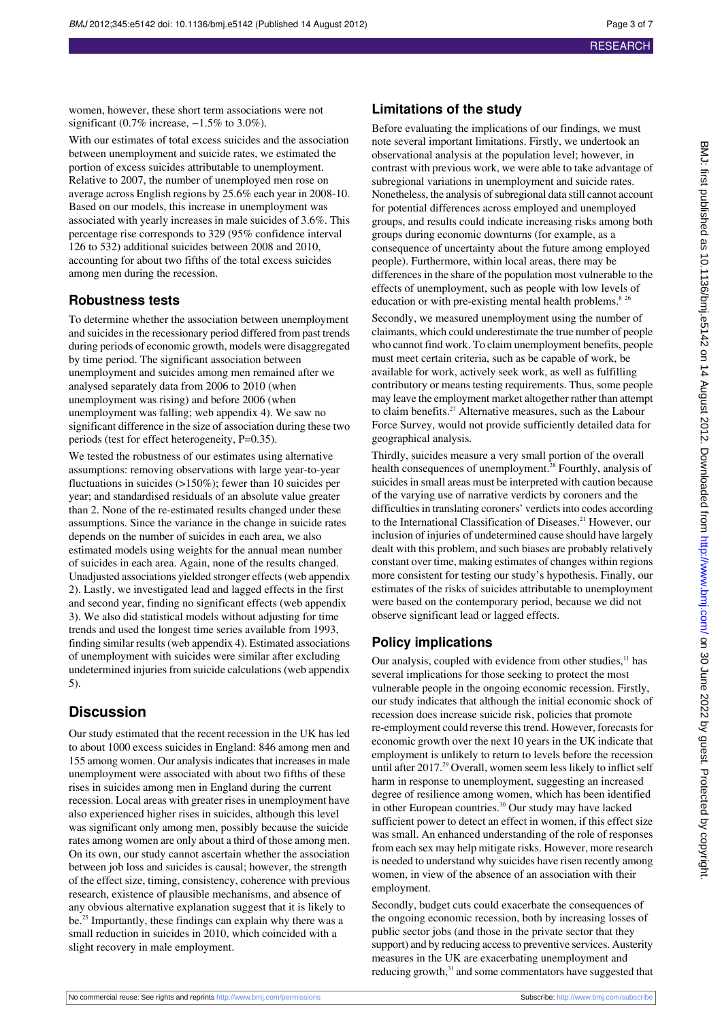women, however, these short term associations were not significant (0.7% increase,  $-1.5%$  to 3.0%).

With our estimates of total excess suicides and the association between unemployment and suicide rates, we estimated the portion of excess suicides attributable to unemployment. Relative to 2007, the number of unemployed men rose on average across English regions by 25.6% each year in 2008-10. Based on our models, this increase in unemployment was associated with yearly increases in male suicides of 3.6%. This percentage rise corresponds to 329 (95% confidence interval 126 to 532) additional suicides between 2008 and 2010, accounting for about two fifths of the total excess suicides among men during the recession.

#### **Robustness tests**

To determine whether the association between unemployment and suicides in the recessionary period differed from past trends during periods of economic growth, models were disaggregated by time period. The significant association between unemployment and suicides among men remained after we analysed separately data from 2006 to 2010 (when unemployment was rising) and before 2006 (when unemployment was falling; web appendix 4). We saw no significant difference in the size of association during these two periods (test for effect heterogeneity, P=0.35).

We tested the robustness of our estimates using alternative assumptions: removing observations with large year-to-year fluctuations in suicides (>150%); fewer than 10 suicides per year; and standardised residuals of an absolute value greater than 2. None of the re-estimated results changed under these assumptions. Since the variance in the change in suicide rates depends on the number of suicides in each area, we also estimated models using weights for the annual mean number of suicides in each area. Again, none of the results changed. Unadjusted associations yielded stronger effects (web appendix 2). Lastly, we investigated lead and lagged effects in the first and second year, finding no significant effects (web appendix 3). We also did statistical models without adjusting for time trends and used the longest time series available from 1993, finding similar results (web appendix 4). Estimated associations of unemployment with suicides were similar after excluding undetermined injuries from suicide calculations (web appendix 5).

### **Discussion**

Our study estimated that the recent recession in the UK has led to about 1000 excess suicides in England: 846 among men and 155 among women. Our analysis indicates that increases in male unemployment were associated with about two fifths of these rises in suicides among men in England during the current recession. Local areas with greater rises in unemployment have also experienced higher rises in suicides, although this level was significant only among men, possibly because the suicide rates among women are only about a third of those among men. On its own, our study cannot ascertain whether the association between job loss and suicides is causal; however, the strength of the effect size, timing, consistency, coherence with previous research, existence of plausible mechanisms, and absence of any obvious alternative explanation suggest that it is likely to be.<sup>25</sup> Importantly, these findings can explain why there was a small reduction in suicides in 2010, which coincided with a slight recovery in male employment.

#### **Limitations of the study**

Before evaluating the implications of our findings, we must note several important limitations. Firstly, we undertook an observational analysis at the population level; however, in contrast with previous work, we were able to take advantage of subregional variations in unemployment and suicide rates. Nonetheless, the analysis of subregional data still cannot account for potential differences across employed and unemployed groups, and results could indicate increasing risks among both groups during economic downturns (for example, as a consequence of uncertainty about the future among employed people). Furthermore, within local areas, there may be differences in the share of the population most vulnerable to the effects of unemployment, such as people with low levels of education or with pre-existing mental health problems. $8^{26}$ 

Secondly, we measured unemployment using the number of claimants, which could underestimate the true number of people who cannot find work. To claim unemployment benefits, people must meet certain criteria, such as be capable of work, be available for work, actively seek work, as well as fulfilling contributory or means testing requirements. Thus, some people may leave the employment market altogether rather than attempt to claim benefits.<sup>27</sup> Alternative measures, such as the Labour Force Survey, would not provide sufficiently detailed data for geographical analysis.

Thirdly, suicides measure a very small portion of the overall health consequences of unemployment.<sup>28</sup> Fourthly, analysis of suicides in small areas must be interpreted with caution because of the varying use of narrative verdicts by coroners and the difficulties in translating coroners' verdicts into codes according to the International Classification of Diseases.<sup>21</sup> However, our inclusion of injuries of undetermined cause should have largely dealt with this problem, and such biases are probably relatively constant over time, making estimates of changes within regions more consistent for testing our study's hypothesis. Finally, our estimates of the risks of suicides attributable to unemployment were based on the contemporary period, because we did not observe significant lead or lagged effects.

#### **Policy implications**

Our analysis, coupled with evidence from other studies,<sup>11</sup> has several implications for those seeking to protect the most vulnerable people in the ongoing economic recession. Firstly, our study indicates that although the initial economic shock of recession does increase suicide risk, policies that promote re-employment could reverse this trend. However, forecasts for economic growth over the next 10 years in the UK indicate that employment is unlikely to return to levels before the recession until after 2017.<sup>29</sup> Overall, women seem less likely to inflict self harm in response to unemployment, suggesting an increased degree of resilience among women, which has been identified in other European countries.<sup>30</sup> Our study may have lacked sufficient power to detect an effect in women, if this effect size was small. An enhanced understanding of the role of responses from each sex may help mitigate risks. However, more research is needed to understand why suicides have risen recently among women, in view of the absence of an association with their employment.

Secondly, budget cuts could exacerbate the consequences of the ongoing economic recession, both by increasing losses of public sector jobs (and those in the private sector that they support) and by reducing access to preventive services. Austerity measures in the UK are exacerbating unemployment and reducing growth,<sup>31</sup> and some commentators have suggested that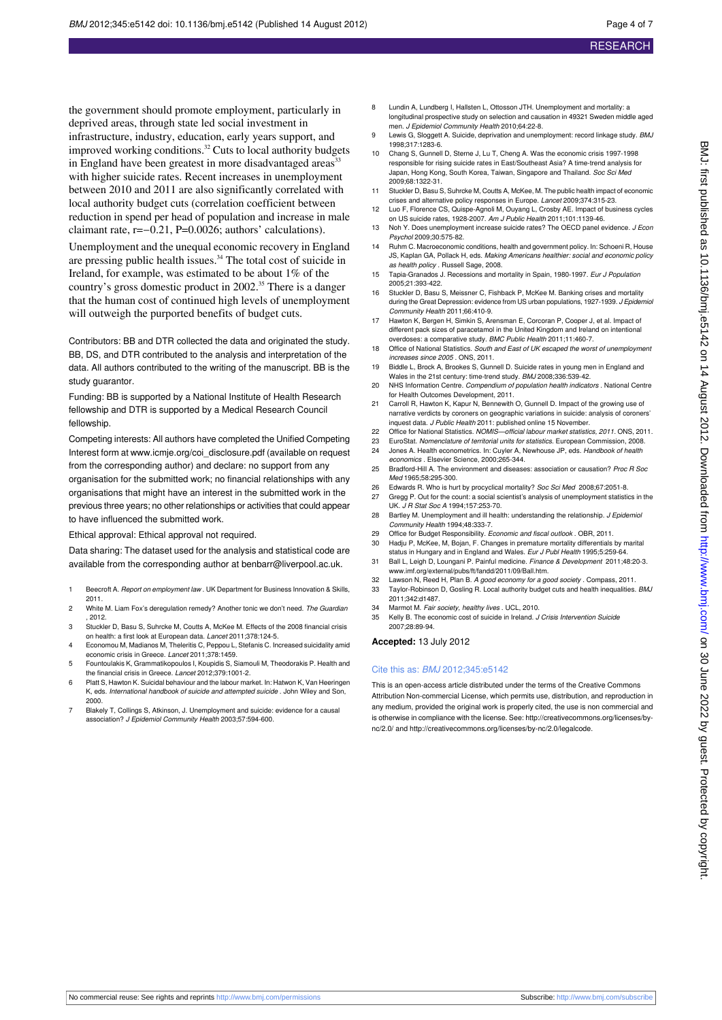the government should promote employment, particularly in deprived areas, through state led social investment in infrastructure, industry, education, early years support, and improved working conditions.<sup>32</sup> Cuts to local authority budgets in England have been greatest in more disadvantaged areas<sup>33</sup> with higher suicide rates. Recent increases in unemployment between 2010 and 2011 are also significantly correlated with local authority budget cuts (correlation coefficient between reduction in spend per head of population and increase in male claimant rate, r=−0.21, P=0.0026; authors' calculations).

Unemployment and the unequal economic recovery in England are pressing public health issues. $34$  The total cost of suicide in Ireland, for example, was estimated to be about 1% of the country's gross domestic product in 2002.<sup>35</sup> There is a danger that the human cost of continued high levels of unemployment will outweigh the purported benefits of budget cuts.

Contributors: BB and DTR collected the data and originated the study. BB, DS, and DTR contributed to the analysis and interpretation of the data. All authors contributed to the writing of the manuscript. BB is the study guarantor.

Funding: BB is supported by a National Institute of Health Research fellowship and DTR is supported by a Medical Research Council fellowship.

Competing interests: All authors have completed the Unified Competing Interest form at [www.icmje.org/coi\\_disclosure.pdf](http://www.icmje.org/coi_disclosure.pdf) (available on request from the corresponding author) and declare: no support from any organisation for the submitted work; no financial relationships with any organisations that might have an interest in the submitted work in the previous three years; no other relationships or activities that could appear to have influenced the submitted work.

Ethical approval: Ethical approval not required.

Data sharing: The dataset used for the analysis and statistical code are available from the corresponding author at benbarr@liverpool.ac.uk.

- 1 Beecroft A. Report on employment law . UK Department for Business Innovation & Skills, 2011.
- 2 White M. Liam Fox's deregulation remedy? Another tonic we don't need. The Guardian , 2012. 3 Stuckler D, Basu S, Suhrcke M, Coutts A, McKee M. Effects of the 2008 financial crisis
- on health: a first look at European data. Lancet 2011;378:124-5. 4 Economou M, Madianos M, Theleritis C, Peppou L, Stefanis C. Increased suicidality amid
- economic crisis in Greece. Lancet 2011;378:1459. 5 Fountoulakis K, Grammatikopoulos I, Koupidis S, Siamouli M, Theodorakis P. Health and
- the financial crisis in Greece. Lancet 2012;379:1001-2.
- 6 Platt S, Hawton K. Suicidal behaviour and the labour market. In: Hatwon K, Van Heeringen K, eds. International handbook of suicide and attempted suicide . John Wiley and Son, 2000.
- Blakely T, Collings S, Atkinson, J. Unemployment and suicide: evidence for a causal association? J Epidemiol Community Health 2003;57:594-600.
- 8 Lundin A, Lundberg I, Hallsten L, Ottosson JTH. Unemployment and mortality: a longitudinal prospective study on selection and causation in 49321 Sweden middle aged men. J Epidemiol Community Health 2010;64:22-8.
- 9 Lewis G, Sloggett A. Suicide, deprivation and unemployment: record linkage study. BMJ 1998;317:1283-6.
- 10 Chang S, Gunnell D, Sterne J, Lu T, Cheng A. Was the economic crisis 1997-1998 responsible for rising suicide rates in East/Southeast Asia? A time-trend analysis for Japan, Hong Kong, South Korea, Taiwan, Singapore and Thailand. Soc Sci Med 2009;68:1322-31.
- 11 Stuckler D, Basu S, Suhrcke M, Coutts A, McKee, M. The public health impact of economic crises and alternative policy responses in Europe. Lancet 2009;374:315-23.
- 12 Luo F, Florence CS, Quispe-Agnoli M, Ouyang L, Crosby AE. Impact of business cycles on US suicide rates, 1928-2007. Am J Public Health 2011;101:1139-46.
- 13 Noh Y. Does unemployment increase suicide rates? The OECD panel evidence. J Econ Psychol 2009;30:575-82. 14 Ruhm C. Macroeconomic conditions, health and government policy. In: Schoeni R, House
- JS, Kaplan GA, Pollack H, eds. Making Americans healthier: social and economic policy as health policy . Russell Sage, 2008.
- 15 Tapia-Granados J. Recessions and mortality in Spain, 1980-1997. Eur J Population 2005;21:393-422.
- 16 Stuckler D, Basu S, Meissner C, Fishback P, McKee M. Banking crises and mortality during the Great Depression: evidence from US urban populations, 1927-1939. J Epidemiol Community Health 2011;66:410-9.
- 17 Hawton K, Bergen H, Simkin S, Arensman E, Corcoran P, Cooper J, et al. Impact of different pack sizes of paracetamol in the United Kingdom and Ireland on intentional overdoses: a comparative study. BMC Public Health 2011;11:460-7.
- 18 Office of National Statistics. South and East of UK escaped the worst of unemployment increases since 2005 . ONS, 2011.
- 19 Biddle L, Brock A, Brookes S, Gunnell D. Suicide rates in young men in England and Wales in the 21st century: time-trend study. BMJ 2008;336:539-42.
- 20 NHS Information Centre. Compendium of population health indicators . National Centre for Health Outcomes Development, 2011.
- 21 Carroll R, Hawton K, Kapur N, Bennewith O, Gunnell D. Impact of the growing use of narrative verdicts by coroners on geographic variations in suicide: analysis of coroners' inquest data. J Public Health 2011: published online 15 November.
- 22 Office for National Statistics. NOMIS—official labour market statistics, 2011. ONS, 2011.<br>23 EuroStati Momenclature of territorial units for statistics. European Commission. 2008.
- **EuroStat. Nomenclature of territorial units for statistics. European Commission, 2008** 24 Jones A. Health econometrics. In: Cuyler A, Newhouse JP, eds. Handbook of health
- economics . Elsevier Science, 2000;265-344. 25 Bradford-Hill A. The environment and diseases: association or causation? Proc R Soc Med 1965;58:295-300.
- 26 Edwards B. Who is hurt by procyclical mortality? Soc Sci Med 2008;67:2051-8. 27 Gregg P. Out for the count: a social scientist's analysis of unemployment statistics in the
- UK. J R Stat Soc A 1994;157:253-70. 28 Bartley M. Unemployment and ill health: understanding the relationship. J Epidemiol Community Health 1994;48:333-7.
- 29 Office for Budget Responsibility, Economic and fiscal outlook, OBR, 2011.
- 30 Hadju P, McKee, M, Bojan, F. Changes in premature mortality differentials by marital
- status in Hungary and in England and Wales. *Eur J Publ Health* 1995;5:259-64.<br>31 Ball L, Leigh D, Loungani P. Painful medicine. *Finance & Development* 2011;48:20-3. [www.imf.org/external/pubs/ft/fandd/2011/09/Ball.htm](http://www.imf.org/external/pubs/ft/fandd/2011/09/Ball.htm).
- 32 Lawson N, Reed H, Plan B. A good economy for a good society . Compass, 2011. 33 Taylor-Robinson D, Gosling R. Local authority budget cuts and health inequalities. BMJ 2011;342:d1487.
- 34 Marmot M. Fair society, healthy lives . UCL, 2010.
- 35 Kelly B. The economic cost of suicide in Ireland. J Crisis Intervention Suicide 2007;28:89-94.

**Accepted:** 13 July 2012

#### Cite this as: BMJ 2012;345:e5142

This is an open-access article distributed under the terms of the Creative Commons Attribution Non-commercial License, which permits use, distribution, and reproduction in any medium, provided the original work is properly cited, the use is non commercial and is otherwise in compliance with the license. See: [http://creativecommons.org/licenses/by](http://creativecommons.org/licenses/by-nc/2.0/)[nc/2.0/](http://creativecommons.org/licenses/by-nc/2.0/) and<http://creativecommons.org/licenses/by-nc/2.0/legalcode>.

**RESEARCH**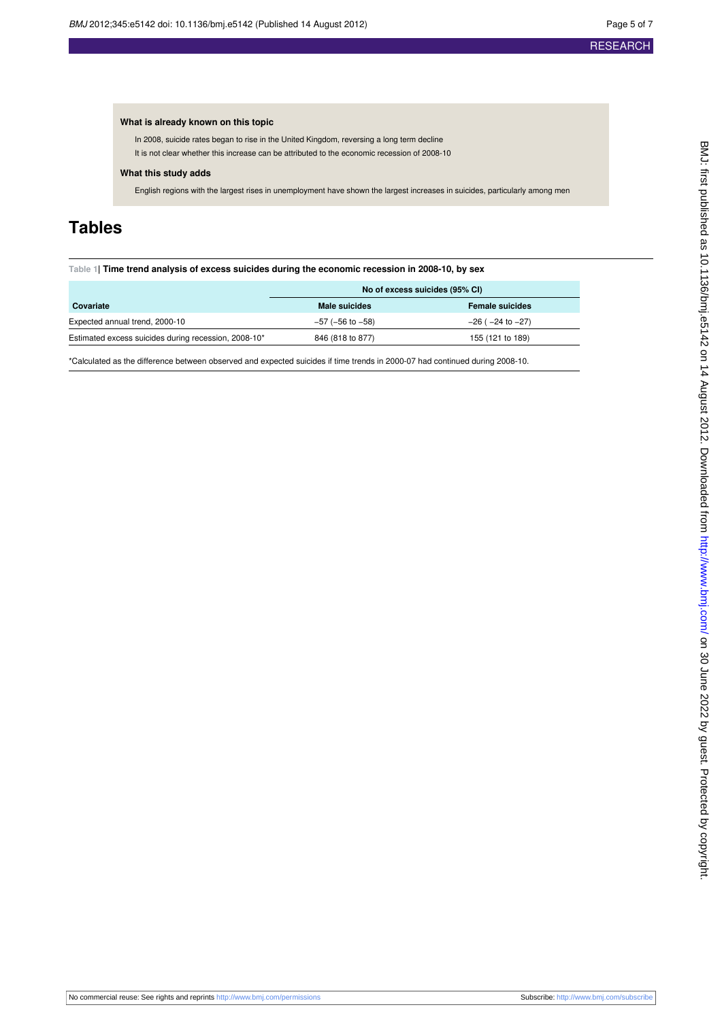#### **What is already known on this topic**

In 2008, suicide rates began to rise in the United Kingdom, reversing a long term decline It is not clear whether this increase can be attributed to the economic recession of 2008-10

#### **What this study adds**

English regions with the largest rises in unemployment have shown the largest increases in suicides, particularly among men

## <span id="page-4-0"></span>**Tables**

**Table 1| Time trend analysis of excess suicides during the economic recession in 2008-10, by sex**

|                                                      | No of excess suicides (95% CI) |                          |
|------------------------------------------------------|--------------------------------|--------------------------|
| Covariate                                            | Male suicides                  | <b>Female suicides</b>   |
| Expected annual trend, 2000-10                       | $-57$ ( $-56$ to $-58$ )       | $-26$ ( $-24$ to $-27$ ) |
| Estimated excess suicides during recession, 2008-10* | 846 (818 to 877)               | 155 (121 to 189)         |

\*Calculated as the difference between observed and expected suicides if time trends in 2000-07 had continued during 2008-10.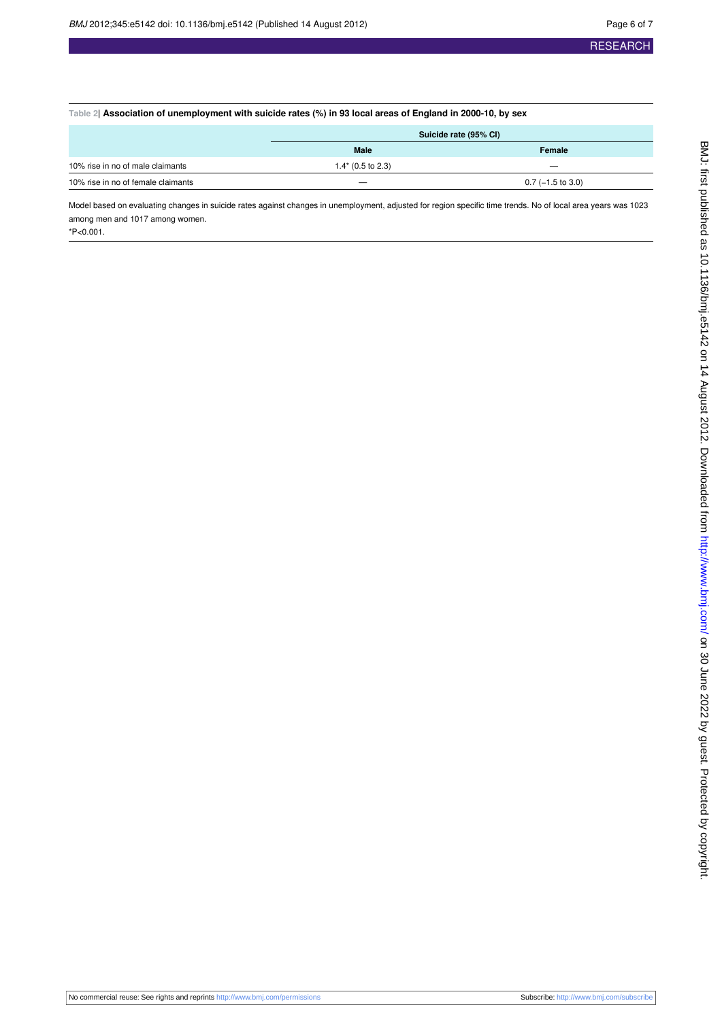#### <span id="page-5-0"></span>**Table 2| Association of unemployment with suicide rates (%) in 93 local areas of England in 2000-10, by sex**

|                                    | Suicide rate (95% CI) |                     |
|------------------------------------|-----------------------|---------------------|
|                                    | <b>Male</b>           | Female              |
| 10% rise in no of male claimants   | $1.4^*$ (0.5 to 2.3)  |                     |
| 10% rise in no of female claimants | _                     | $0.7$ (-1.5 to 3.0) |

Model based on evaluating changes in suicide rates against changes in unemployment, adjusted for region specific time trends. No of local area years was 1023 among men and 1017 among women.

\*P<0.001.